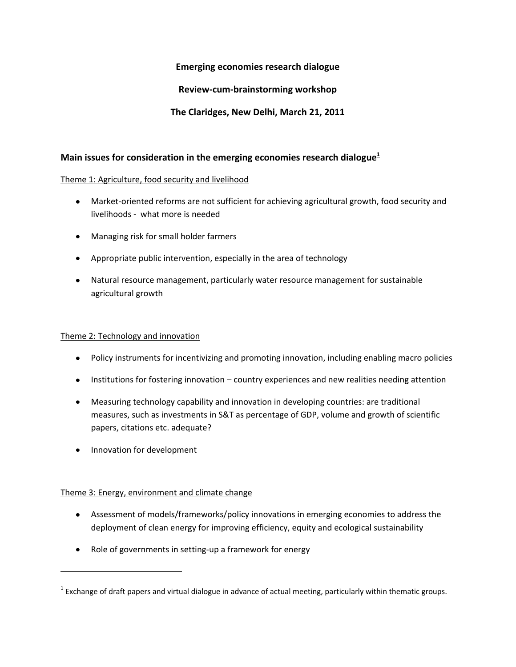# **Emerging economies research dialogue**

# **Review-cum-brainstorming workshop**

# **The Claridges, New Delhi, March 21, 2011**

# **Main issues for consideration in the emerging economies research dialogue<sup>1</sup>**

### Theme 1: Agriculture, food security and livelihood

- Market-oriented reforms are not sufficient for achieving agricultural growth, food security and livelihoods - what more is needed
- Managing risk for small holder farmers
- Appropriate public intervention, especially in the area of technology
- Natural resource management, particularly water resource management for sustainable agricultural growth

#### Theme 2: Technology and innovation

- Policy instruments for incentivizing and promoting innovation, including enabling macro policies
- Institutions for fostering innovation country experiences and new realities needing attention
- Measuring technology capability and innovation in developing countries: are traditional measures, such as investments in S&T as percentage of GDP, volume and growth of scientific papers, citations etc. adequate?
- Innovation for development  $\bullet$

l

### Theme 3: Energy, environment and climate change

- Assessment of models/frameworks/policy innovations in emerging economies to address the deployment of clean energy for improving efficiency, equity and ecological sustainability
- Role of governments in setting-up a framework for energy

 $^1$  Exchange of draft papers and virtual dialogue in advance of actual meeting, particularly within thematic groups.